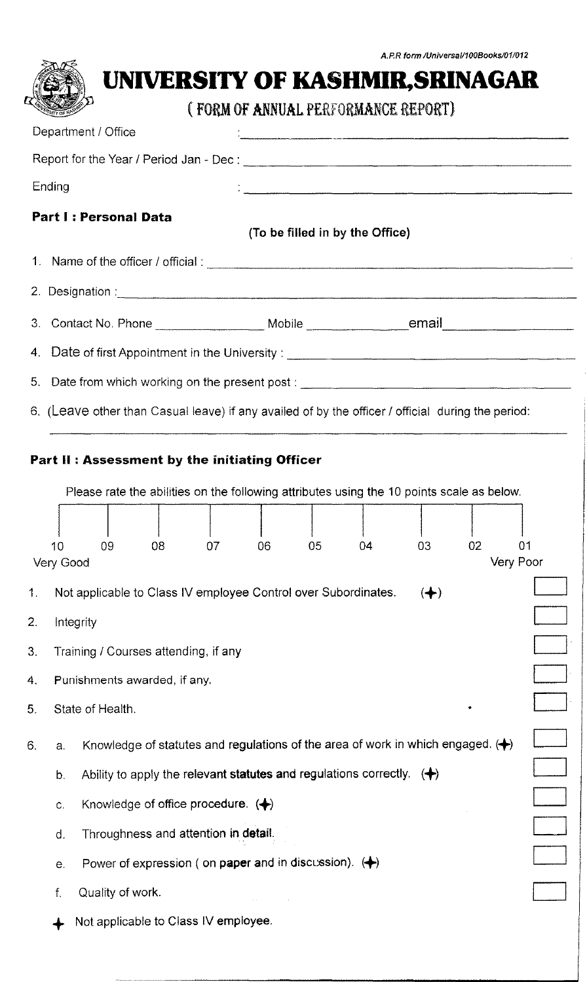|        | A.P.R form /Universal/100Books/01/012                                                                                                           |  |  |  |  |
|--------|-------------------------------------------------------------------------------------------------------------------------------------------------|--|--|--|--|
|        | UNIVERSITY OF KASHMIR, SRINAGAR                                                                                                                 |  |  |  |  |
|        | (FORM OF ANNUAL PERFORMANCE REPORT)                                                                                                             |  |  |  |  |
|        | Department / Office<br>r<br>1<br>— инстрантиональные продолжения политиками политиками составление подразнение политиками составление и составл |  |  |  |  |
|        |                                                                                                                                                 |  |  |  |  |
| Ending |                                                                                                                                                 |  |  |  |  |
|        | <b>Part I: Personal Data</b><br>(To be filled in by the Office)                                                                                 |  |  |  |  |
|        |                                                                                                                                                 |  |  |  |  |
|        |                                                                                                                                                 |  |  |  |  |
| 3.     | Contact No. Phone ____________________ Mobile __________________________________                                                                |  |  |  |  |
|        | 4. Date of first Appointment in the University: ________________________________                                                                |  |  |  |  |
|        | 5. Date from which working on the present post: _________________________________                                                               |  |  |  |  |
|        | 6. (Leave other than Casual leave) if any availed of by the officer / official during the period:                                               |  |  |  |  |
|        |                                                                                                                                                 |  |  |  |  |
|        | Part II: Assessment by the initiating Officer                                                                                                   |  |  |  |  |
|        | Please rate the abilities on the following attributes using the 10 points scale as below.                                                       |  |  |  |  |
|        |                                                                                                                                                 |  |  |  |  |
|        | 02<br>09<br>08<br>05<br>03<br>01<br>10<br>07<br>06<br>04                                                                                        |  |  |  |  |
|        | Very Poor<br>Very Good                                                                                                                          |  |  |  |  |
| 1.     | Not applicable to Class IV employee Control over Subordinates.<br>$\left( \biguparrow$                                                          |  |  |  |  |
| 2.     | Integrity                                                                                                                                       |  |  |  |  |
| 3.     | Training / Courses attending, if any                                                                                                            |  |  |  |  |
| 4.     | Punishments awarded, if any.                                                                                                                    |  |  |  |  |
| 5.     | State of Health.                                                                                                                                |  |  |  |  |
| 6.     | Knowledge of statutes and regulations of the area of work in which engaged. $(+)$<br>a.                                                         |  |  |  |  |
|        | Ability to apply the relevant statutes and regulations correctly. $\langle \clubsuit \rangle$<br>b.                                             |  |  |  |  |
|        | Knowledge of office procedure. $\langle \clubsuit \rangle$<br>$\mathsf{C}$                                                                      |  |  |  |  |
|        | Throughness and attention in detail.<br>d.                                                                                                      |  |  |  |  |
|        | Power of expression (on <b>paper and in discussion).</b> $(\bigstar)$<br>e.                                                                     |  |  |  |  |
|        |                                                                                                                                                 |  |  |  |  |
|        | Quality of work.<br>f.                                                                                                                          |  |  |  |  |